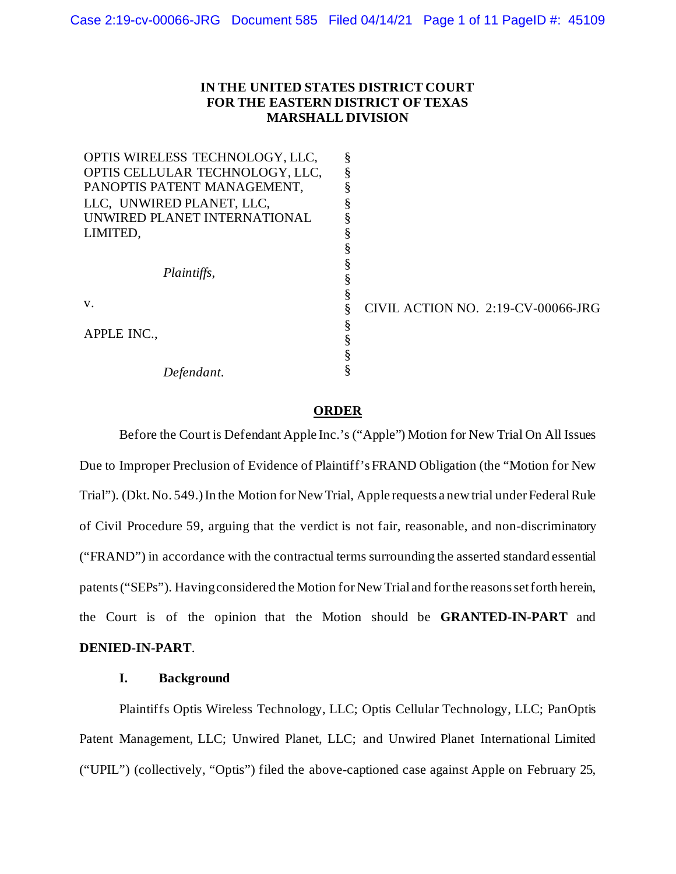# **IN THE UNITED STATES DISTRICT COURT FOR THE EASTERN DISTRICT OF TEXAS MARSHALL DIVISION**

| CIVIL ACTION NO. 2:19-CV-00066-JRG |
|------------------------------------|
|                                    |
|                                    |
|                                    |
|                                    |
|                                    |

### **ORDER**

Before the Court is Defendant Apple Inc.'s ("Apple") Motion for New Trial On All Issues Due to Improper Preclusion of Evidence of Plaintiff's FRAND Obligation (the "Motion for New Trial"). (Dkt. No. 549.)In the Motion for New Trial, Apple requests a new trial under Federal Rule of Civil Procedure 59, arguing that the verdict is not fair, reasonable, and non-discriminatory ("FRAND") in accordance with the contractual terms surrounding the asserted standard essential patents ("SEPs"). Having considered the Motion for New Trial and for the reasons set forth herein, the Court is of the opinion that the Motion should be **GRANTED-IN-PART** and **DENIED-IN-PART**.

# **I. Background**

Plaintiffs Optis Wireless Technology, LLC; Optis Cellular Technology, LLC; PanOptis Patent Management, LLC; Unwired Planet, LLC; and Unwired Planet International Limited ("UPIL") (collectively, "Optis") filed the above-captioned case against Apple on February 25,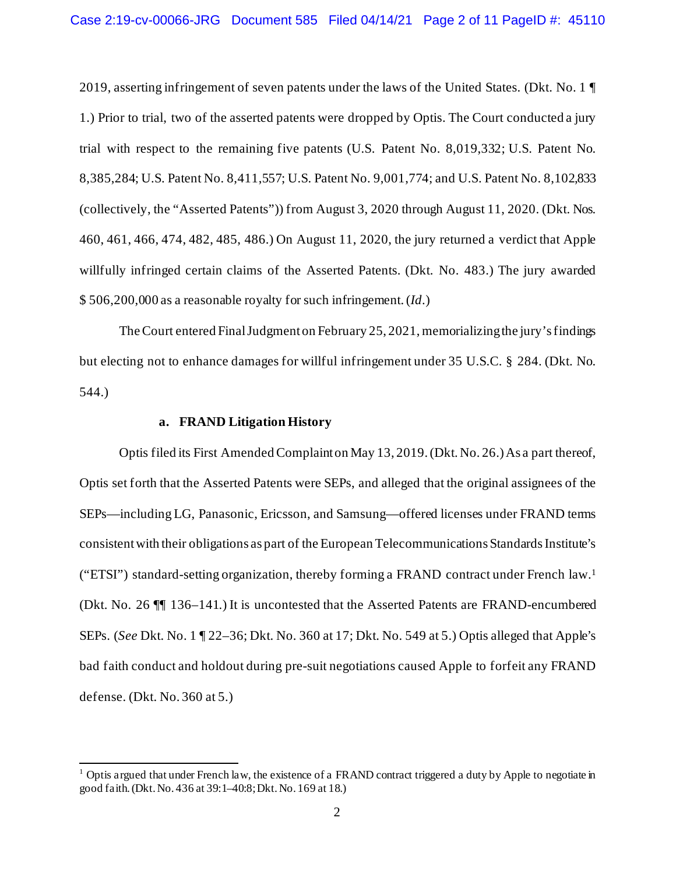2019, asserting infringement of seven patents under the laws of the United States. (Dkt. No. 1 ¶ 1.) Prior to trial, two of the asserted patents were dropped by Optis. The Court conducted a jury trial with respect to the remaining five patents (U.S. Patent No. 8,019,332; U.S. Patent No. 8,385,284; U.S. Patent No. 8,411,557; U.S. Patent No. 9,001,774; and U.S. Patent No. 8,102,833 (collectively, the "Asserted Patents")) from August 3, 2020 through August 11, 2020. (Dkt. Nos. 460, 461, 466, 474, 482, 485, 486.) On August 11, 2020, the jury returned a verdict that Apple willfully infringed certain claims of the Asserted Patents. (Dkt. No. 483.) The jury awarded \$ 506,200,000 as a reasonable royalty for such infringement. (*Id*.)

The Court entered Final Judgment on February 25, 2021, memorializingthe jury's findings but electing not to enhance damages for willful infringement under 35 U.S.C. § 284. (Dkt. No. 544.)

### **a. FRAND Litigation History**

Optis filed its First Amended Complaint on May 13, 2019. (Dkt. No. 26.) As a part thereof, Optis set forth that the Asserted Patents were SEPs, and alleged that the original assignees of the SEPs—including LG, Panasonic, Ericsson, and Samsung—offered licenses under FRAND terms consistent with their obligations as part of the European Telecommunications Standards Institute's ("ETSI") standard-setting organization, thereby forming a FRAND contract under French law.1 (Dkt. No. 26 ¶¶ 136–141.) It is uncontested that the Asserted Patents are FRAND-encumbered SEPs. (*See* Dkt. No. 1 ¶ 22–36; Dkt. No. 360 at 17; Dkt. No. 549 at 5.) Optis alleged that Apple's bad faith conduct and holdout during pre-suit negotiations caused Apple to forfeit any FRAND defense. (Dkt. No. 360 at 5.)

 $1$  Optis argued that under French law, the existence of a FRAND contract triggered a duty by Apple to negotiate in good faith. (Dkt. No. 436 at 39:1–40:8; Dkt. No. 169 at 18.)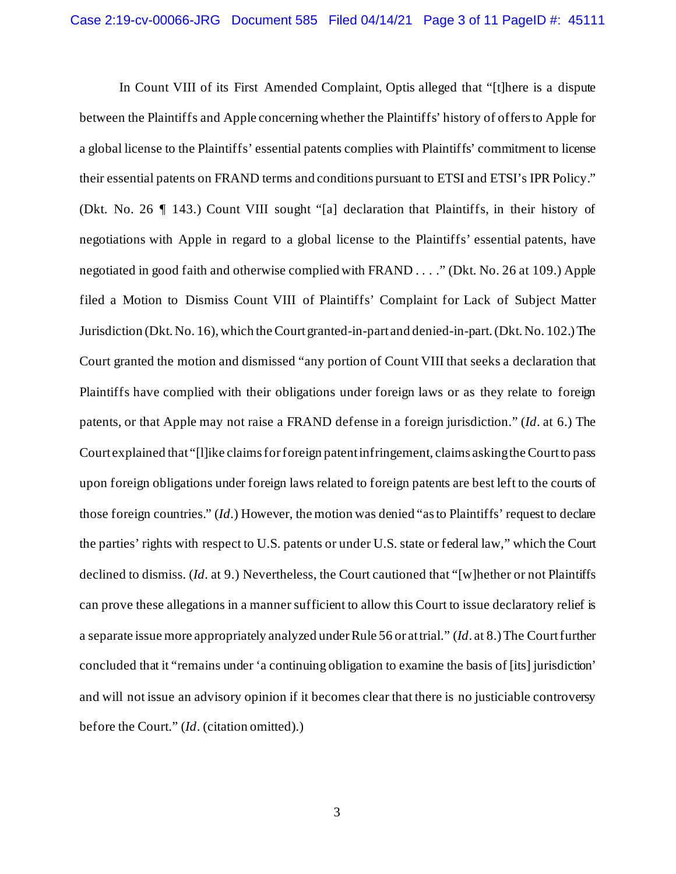In Count VIII of its First Amended Complaint, Optis alleged that "[t]here is a dispute between the Plaintiffs and Apple concerning whether the Plaintiffs' history of offers to Apple for a global license to the Plaintiffs' essential patents complies with Plaintiffs' commitment to license their essential patents on FRAND terms and conditions pursuant to ETSI and ETSI's IPR Policy." (Dkt. No. 26 ¶ 143.) Count VIII sought "[a] declaration that Plaintiffs, in their history of negotiations with Apple in regard to a global license to the Plaintiffs' essential patents, have negotiated in good faith and otherwise complied with FRAND . . . ." (Dkt. No. 26 at 109.) Apple filed a Motion to Dismiss Count VIII of Plaintiffs' Complaint for Lack of Subject Matter Jurisdiction (Dkt. No. 16), which the Court granted-in-part and denied-in-part. (Dkt. No. 102.) The Court granted the motion and dismissed "any portion of Count VIII that seeks a declaration that Plaintiffs have complied with their obligations under foreign laws or as they relate to foreign patents, or that Apple may not raise a FRAND defense in a foreign jurisdiction." (*Id*. at 6.) The Court explained that "[l]ike claims for foreign patent infringement, claims asking the Court to pass upon foreign obligations under foreign laws related to foreign patents are best left to the courts of those foreign countries." (*Id*.) However, the motion was denied "as to Plaintiffs' request to declare the parties' rights with respect to U.S. patents or under U.S. state or federal law," which the Court declined to dismiss. (*Id*. at 9.) Nevertheless, the Court cautioned that "[w]hether or not Plaintiffs can prove these allegations in a manner sufficient to allow this Court to issue declaratory relief is a separate issue more appropriately analyzed under Rule 56 or at trial." (*Id*. at 8.) The Court further concluded that it "remains under 'a continuing obligation to examine the basis of [its] jurisdiction' and will not issue an advisory opinion if it becomes clear that there is no justiciable controversy before the Court." (*Id*. (citation omitted).)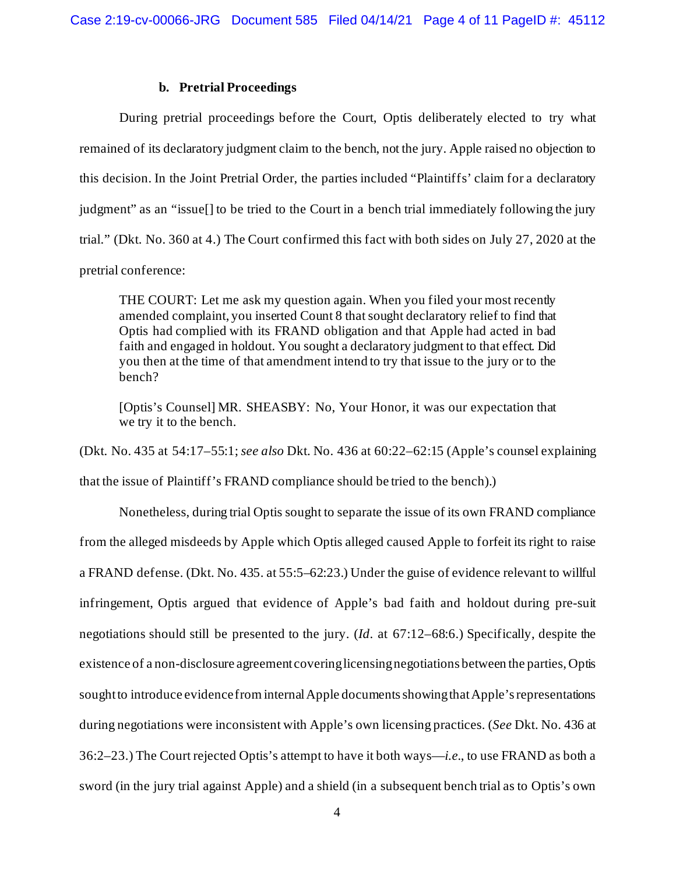## **b. Pretrial Proceedings**

During pretrial proceedings before the Court, Optis deliberately elected to try what remained of its declaratory judgment claim to the bench, not the jury. Apple raised no objection to this decision. In the Joint Pretrial Order, the parties included "Plaintiffs' claim for a declaratory judgment" as an "issue[] to be tried to the Court in a bench trial immediately following the jury trial." (Dkt. No. 360 at 4.) The Court confirmed this fact with both sides on July 27, 2020 at the pretrial conference:

THE COURT: Let me ask my question again. When you filed your most recently amended complaint, you inserted Count 8 that sought declaratory relief to find that Optis had complied with its FRAND obligation and that Apple had acted in bad faith and engaged in holdout. You sought a declaratory judgment to that effect. Did you then at the time of that amendment intend to try that issue to the jury or to the bench?

[Optis's Counsel] MR. SHEASBY: No, Your Honor, it was our expectation that we try it to the bench.

(Dkt. No. 435 at 54:17–55:1; *see also* Dkt. No. 436 at 60:22–62:15 (Apple's counsel explaining

that the issue of Plaintiff's FRAND compliance should be tried to the bench).)

Nonetheless, during trial Optis sought to separate the issue of its own FRAND compliance from the alleged misdeeds by Apple which Optis alleged caused Apple to forfeit its right to raise a FRAND defense. (Dkt. No. 435. at 55:5–62:23.) Under the guise of evidence relevant to willful infringement, Optis argued that evidence of Apple's bad faith and holdout during pre-suit negotiations should still be presented to the jury. (*Id*. at 67:12–68:6.) Specifically, despite the existence of a non-disclosure agreement covering licensing negotiations between the parties, Optis sought to introduce evidence from internal Apple documents showing that Apple's representations during negotiations were inconsistent with Apple's own licensing practices. (*See* Dkt. No. 436 at 36:2–23.) The Court rejected Optis's attempt to have it both ways—*i.e.*, to use FRAND as both a sword (in the jury trial against Apple) and a shield (in a subsequent bench trial as to Optis's own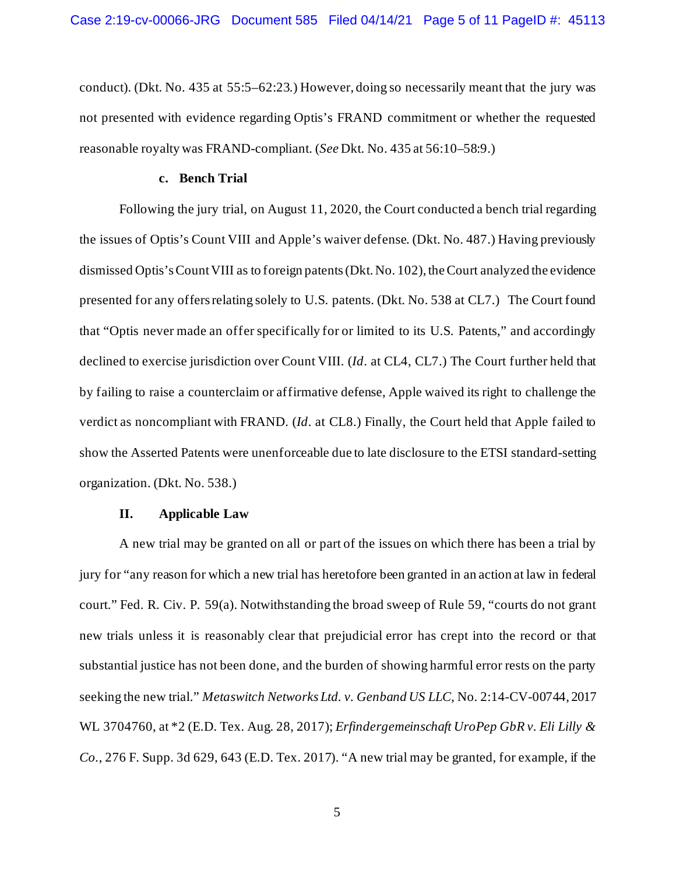conduct). (Dkt. No. 435 at 55:5–62:23.) However, doing so necessarily meant that the jury was not presented with evidence regarding Optis's FRAND commitment or whether the requested reasonable royalty was FRAND-compliant. (*See* Dkt. No. 435 at 56:10–58:9.)

### **c. Bench Trial**

Following the jury trial, on August 11, 2020, the Court conducted a bench trial regarding the issues of Optis's Count VIII and Apple's waiver defense. (Dkt. No. 487.) Having previously dismissed Optis's Count VIII as to foreign patents(Dkt. No. 102), the Court analyzed the evidence presented for any offers relating solely to U.S. patents. (Dkt. No. 538 at CL7.) The Court found that "Optis never made an offer specifically for or limited to its U.S. Patents," and accordingly declined to exercise jurisdiction over Count VIII. (*Id*. at CL4, CL7.) The Court further held that by failing to raise a counterclaim or affirmative defense, Apple waived its right to challenge the verdict as noncompliant with FRAND. (*Id*. at CL8.) Finally, the Court held that Apple failed to show the Asserted Patents were unenforceable due to late disclosure to the ETSI standard-setting organization. (Dkt. No. 538.)

### **II. Applicable Law**

A new trial may be granted on all or part of the issues on which there has been a trial by jury for "any reason for which a new trial has heretofore been granted in an action at law in federal court." Fed. R. Civ. P. 59(a). Notwithstanding the broad sweep of Rule 59, "courts do not grant new trials unless it is reasonably clear that prejudicial error has crept into the record or that substantial justice has not been done, and the burden of showing harmful error rests on the party seeking the new trial." *Metaswitch Networks Ltd. v. Genband US LLC*, No. 2:14-CV-00744, 2017 WL 3704760, at \*2 (E.D. Tex. Aug. 28, 2017); *Erfindergemeinschaft UroPep GbR v. Eli Lilly & Co.*, 276 F. Supp. 3d 629, 643 (E.D. Tex. 2017). "A new trial may be granted, for example, if the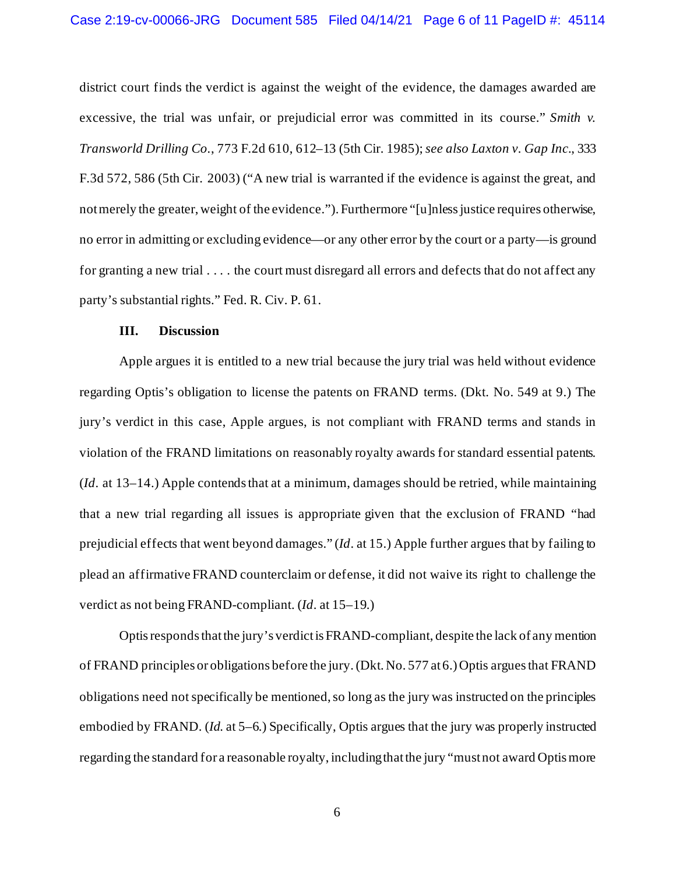district court finds the verdict is against the weight of the evidence, the damages awarded are excessive, the trial was unfair, or prejudicial error was committed in its course." *Smith v. Transworld Drilling Co.*, 773 F.2d 610, 612–13 (5th Cir. 1985); *see also Laxton v. Gap Inc.*, 333 F.3d 572, 586 (5th Cir. 2003) ("A new trial is warranted if the evidence is against the great, and not merely the greater, weight of the evidence."). Furthermore "[u]nless justice requires otherwise, no error in admitting or excluding evidence—or any other error by the court or a party—is ground for granting a new trial . . . . the court must disregard all errors and defects that do not affect any party's substantial rights." Fed. R. Civ. P. 61.

# **III. Discussion**

Apple argues it is entitled to a new trial because the jury trial was held without evidence regarding Optis's obligation to license the patents on FRAND terms. (Dkt. No. 549 at 9.) The jury's verdict in this case, Apple argues, is not compliant with FRAND terms and stands in violation of the FRAND limitations on reasonably royalty awards for standard essential patents. (*Id*. at 13–14.) Apple contends that at a minimum, damages should be retried, while maintaining that a new trial regarding all issues is appropriate given that the exclusion of FRAND "had prejudicial effects that went beyond damages." (*Id*. at 15.) Apple further argues that by failing to plead an affirmative FRAND counterclaim or defense, it did not waive its right to challenge the verdict as not being FRAND-compliant. (*Id*. at 15–19.)

Optis responds that the jury's verdict is FRAND-compliant, despite the lack of any mention of FRAND principles or obligations before the jury.(Dkt. No. 577 at 6.)Optis argues that FRAND obligations need not specifically be mentioned, so long as the jury was instructed on the principles embodied by FRAND. (*Id*. at 5–6.) Specifically, Optis argues that the jury was properly instructed regarding the standard for a reasonable royalty, including that the jury "must not award Optis more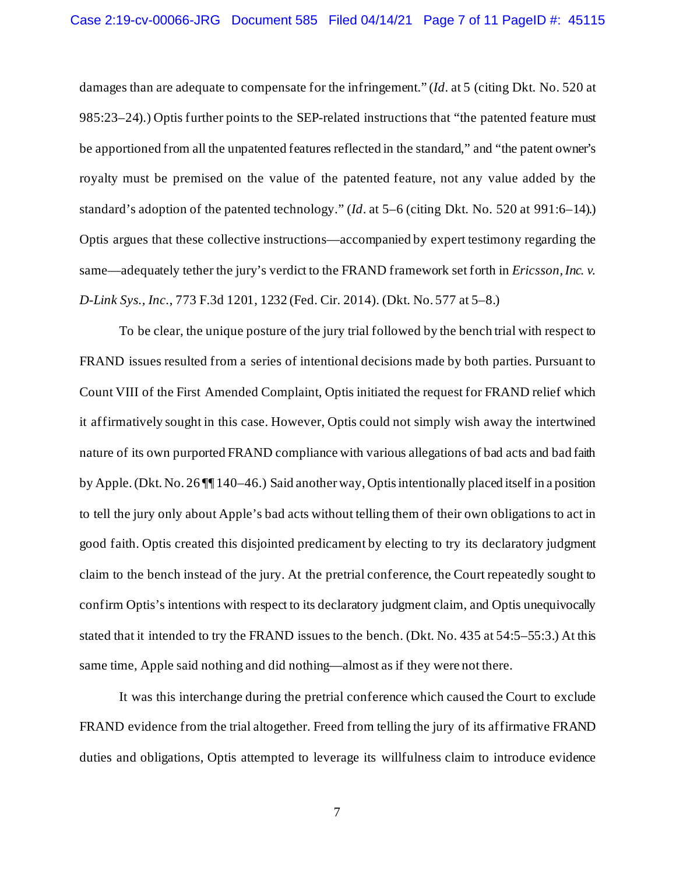damages than are adequate to compensate for the infringement." (*Id*. at 5 (citing Dkt. No. 520 at 985:23–24).) Optis further points to the SEP-related instructions that "the patented feature must be apportioned from all the unpatented features reflected in the standard," and "the patent owner's royalty must be premised on the value of the patented feature, not any value added by the standard's adoption of the patented technology." (*Id*. at 5–6 (citing Dkt. No. 520 at 991:6–14).) Optis argues that these collective instructions—accompanied by expert testimony regarding the same—adequately tether the jury's verdict to the FRAND framework set forth in *Ericsson, Inc. v. D-Link Sys., Inc.*, 773 F.3d 1201, 1232 (Fed. Cir. 2014). (Dkt. No. 577 at 5–8.)

To be clear, the unique posture of the jury trial followed by the bench trial with respect to FRAND issues resulted from a series of intentional decisions made by both parties. Pursuant to Count VIII of the First Amended Complaint, Optis initiated the request for FRAND relief which it affirmatively sought in this case. However, Optis could not simply wish away the intertwined nature of its own purported FRAND compliance with various allegations of bad acts and bad faith by Apple. (Dkt. No. 26 ¶¶ 140–46.) Said another way, Optis intentionally placed itself in a position to tell the jury only about Apple's bad acts without telling them of their own obligations to act in good faith. Optis created this disjointed predicament by electing to try its declaratory judgment claim to the bench instead of the jury. At the pretrial conference, the Court repeatedly sought to confirm Optis's intentions with respect to its declaratory judgment claim, and Optis unequivocally stated that it intended to try the FRAND issues to the bench. (Dkt. No. 435 at 54:5–55:3.) At this same time, Apple said nothing and did nothing—almost as if they were not there.

It was this interchange during the pretrial conference which caused the Court to exclude FRAND evidence from the trial altogether. Freed from telling the jury of its affirmative FRAND duties and obligations, Optis attempted to leverage its willfulness claim to introduce evidence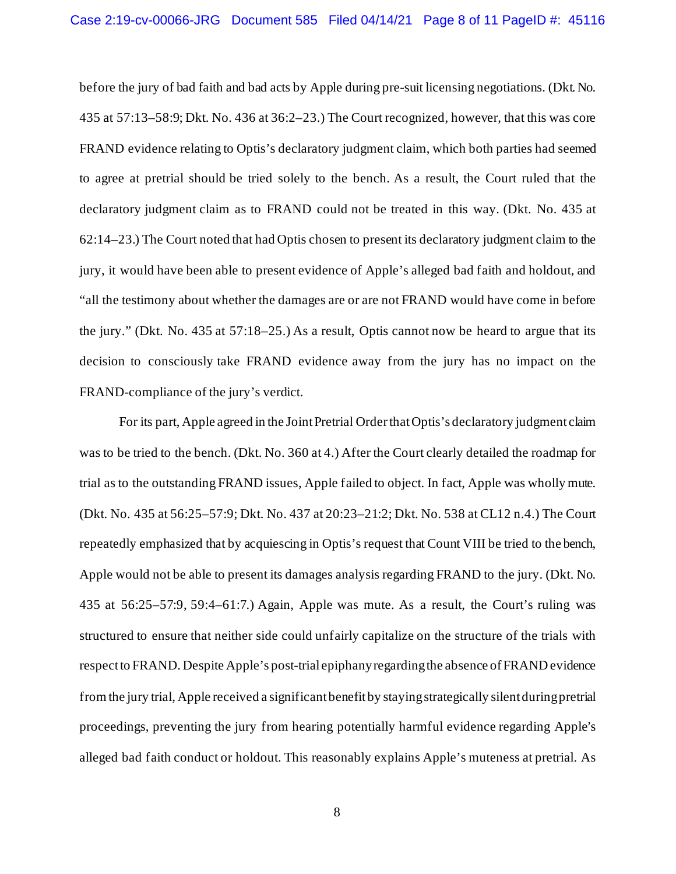before the jury of bad faith and bad acts by Apple during pre-suit licensing negotiations. (Dkt. No. 435 at 57:13–58:9; Dkt. No. 436 at 36:2–23.) The Court recognized, however, that this was core FRAND evidence relating to Optis's declaratory judgment claim, which both parties had seemed to agree at pretrial should be tried solely to the bench. As a result, the Court ruled that the declaratory judgment claim as to FRAND could not be treated in this way. (Dkt. No. 435 at 62:14–23.) The Court noted that had Optis chosen to present its declaratory judgment claim to the jury, it would have been able to present evidence of Apple's alleged bad faith and holdout, and "all the testimony about whether the damages are or are not FRAND would have come in before the jury." (Dkt. No. 435 at 57:18–25.) As a result, Optis cannot now be heard to argue that its decision to consciously take FRAND evidence away from the jury has no impact on the FRAND-compliance of the jury's verdict.

For its part, Apple agreed in the Joint Pretrial Order that Optis's declaratory judgment claim was to be tried to the bench. (Dkt. No. 360 at 4.) After the Court clearly detailed the roadmap for trial as to the outstanding FRAND issues, Apple failed to object. In fact, Apple was wholly mute. (Dkt. No. 435 at 56:25–57:9; Dkt. No. 437 at 20:23–21:2; Dkt. No. 538 at CL12 n.4.) The Court repeatedly emphasized that by acquiescing in Optis's request that Count VIII be tried to the bench, Apple would not be able to present its damages analysis regarding FRAND to the jury. (Dkt. No. 435 at 56:25–57:9, 59:4–61:7.) Again, Apple was mute. As a result, the Court's ruling was structured to ensure that neither side could unfairly capitalize on the structure of the trials with respect to FRAND. Despite Apple's post-trial epiphany regarding the absence of FRAND evidence from the jury trial, Apple received a significant benefit by staying strategically silentduring pretrial proceedings, preventing the jury from hearing potentially harmful evidence regarding Apple's alleged bad faith conduct or holdout. This reasonably explains Apple's muteness at pretrial. As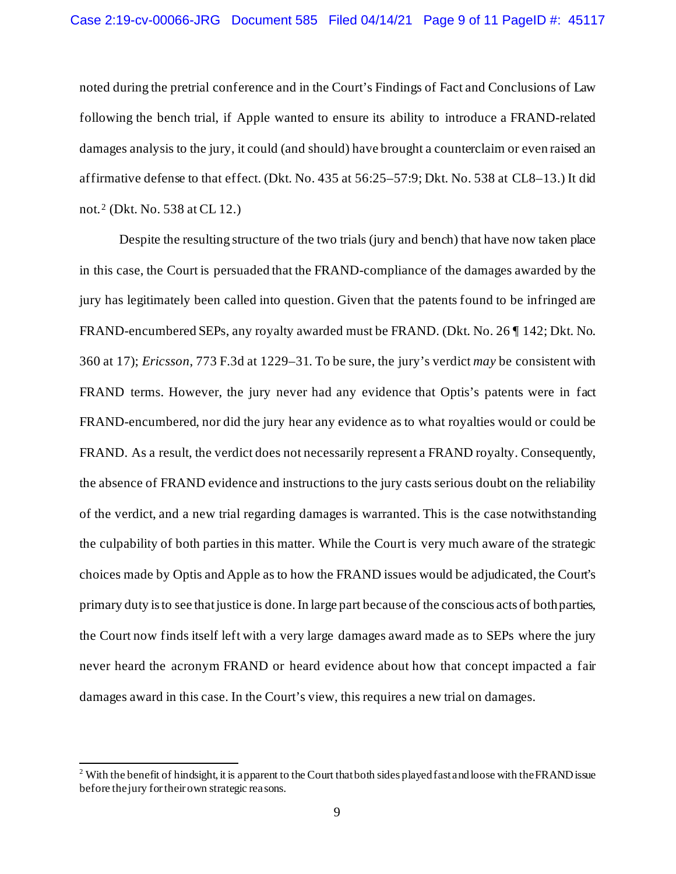noted during the pretrial conference and in the Court's Findings of Fact and Conclusions of Law following the bench trial, if Apple wanted to ensure its ability to introduce a FRAND-related damages analysis to the jury, it could (and should) have brought a counterclaim or even raised an affirmative defense to that effect. (Dkt. No. 435 at 56:25–57:9; Dkt. No. 538 at CL8–13.) It did not. <sup>2</sup> (Dkt. No. 538 at CL 12.)

Despite the resulting structure of the two trials (jury and bench) that have now taken place in this case, the Court is persuaded that the FRAND-compliance of the damages awarded by the jury has legitimately been called into question. Given that the patents found to be infringed are FRAND-encumbered SEPs, any royalty awarded must be FRAND. (Dkt. No. 26 ¶ 142; Dkt. No. 360 at 17); *Ericsson*, 773 F.3d at 1229–31. To be sure, the jury's verdict *may* be consistent with FRAND terms. However, the jury never had any evidence that Optis's patents were in fact FRAND-encumbered, nor did the jury hear any evidence as to what royalties would or could be FRAND. As a result, the verdict does not necessarily represent a FRAND royalty. Consequently, the absence of FRAND evidence and instructions to the jury casts serious doubt on the reliability of the verdict, and a new trial regarding damages is warranted. This is the case notwithstanding the culpability of both parties in this matter. While the Court is very much aware of the strategic choices made by Optis and Apple as to how the FRAND issues would be adjudicated, the Court's primary duty is to see that justice is done. In large part because of the conscious acts of both parties, the Court now finds itself left with a very large damages award made as to SEPs where the jury never heard the acronym FRAND or heard evidence about how that concept impacted a fair damages award in this case. In the Court's view, this requires a new trial on damages.

<sup>&</sup>lt;sup>2</sup> With the benefit of hindsight, it is apparent to the Court that both sides played fast and loose with the FRAND issue before the jury for their own strategic reasons.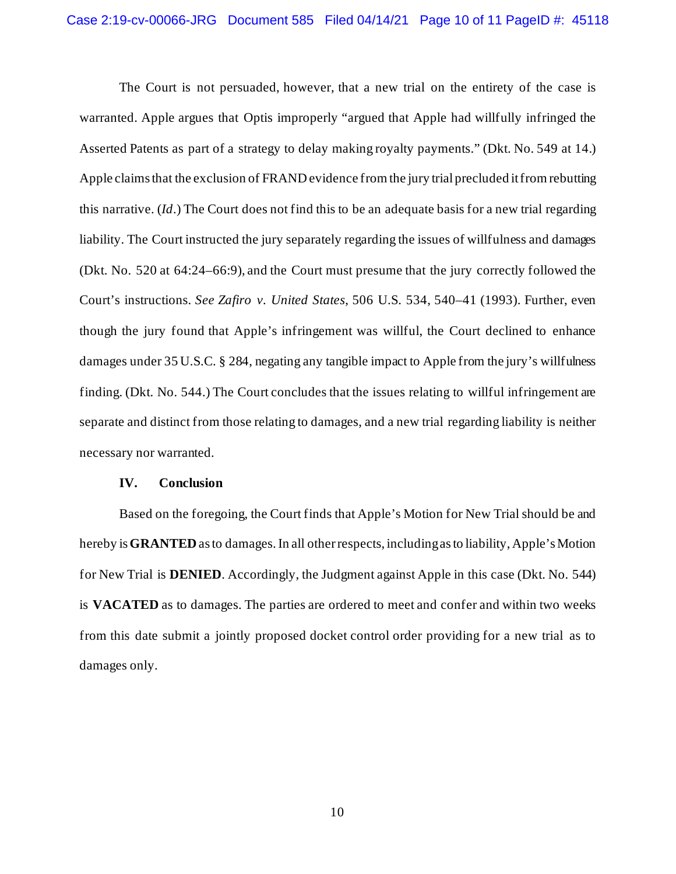The Court is not persuaded, however, that a new trial on the entirety of the case is warranted. Apple argues that Optis improperly "argued that Apple had willfully infringed the Asserted Patents as part of a strategy to delay making royalty payments." (Dkt. No. 549 at 14.) Apple claims that the exclusion of FRAND evidence from the jury trial precluded it from rebutting this narrative. (*Id*.) The Court does not find this to be an adequate basis for a new trial regarding liability. The Court instructed the jury separately regarding the issues of willfulness and damages (Dkt. No. 520 at 64:24–66:9), and the Court must presume that the jury correctly followed the Court's instructions. *See Zafiro v. United States*, 506 U.S. 534, 540–41 (1993). Further, even though the jury found that Apple's infringement was willful, the Court declined to enhance damages under 35 U.S.C. § 284, negating any tangible impact to Apple from the jury's willfulness finding. (Dkt. No. 544.) The Court concludes that the issues relating to willful infringement are separate and distinct from those relating to damages, and a new trial regarding liability is neither necessary nor warranted.

### **IV. Conclusion**

Based on the foregoing, the Court finds that Apple's Motion for New Trial should be and hereby is **GRANTED** as to damages.In all other respects, including as to liability, Apple's Motion for New Trial is **DENIED**. Accordingly, the Judgment against Apple in this case (Dkt. No. 544) is **VACATED** as to damages. The parties are ordered to meet and confer and within two weeks from this date submit a jointly proposed docket control order providing for a new trial as to damages only.